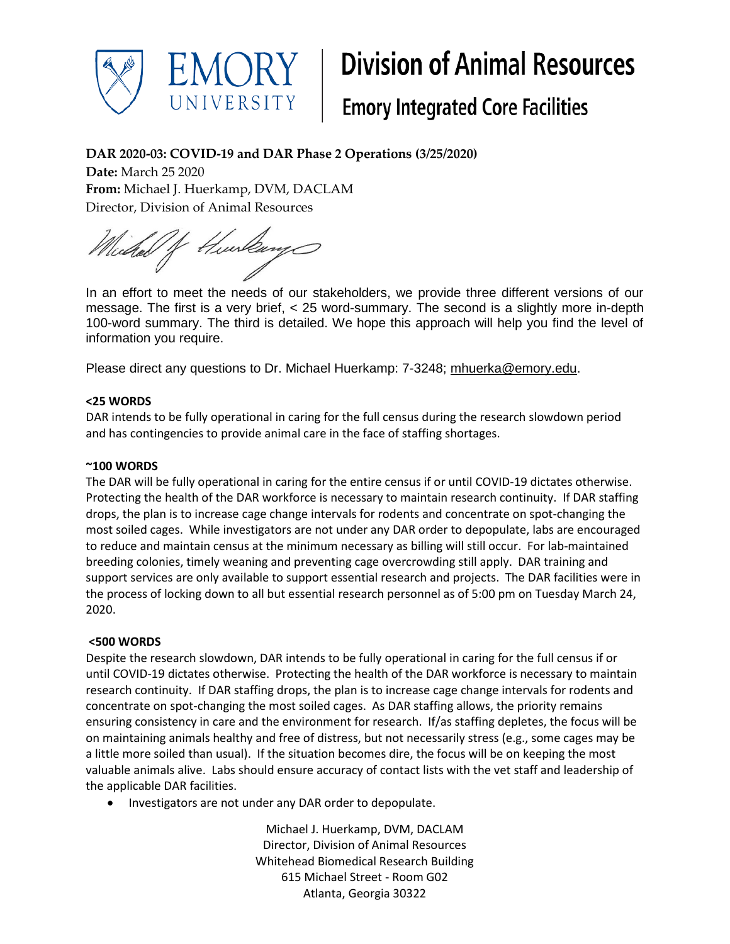

# **Division of Animal Resources**

## **Emory Integrated Core Facilities**

### **DAR 2020-03: COVID-19 and DAR Phase 2 Operations (3/25/2020)**

**Date:** March 25 2020 **From:** Michael J. Huerkamp, DVM, DACLAM Director, Division of Animal Resources

Hurlang Wieder of

In an effort to meet the needs of our stakeholders, we provide three different versions of our message. The first is a very brief, < 25 word-summary. The second is a slightly more in-depth 100-word summary. The third is detailed. We hope this approach will help you find the level of information you require.

Please direct any questions to Dr. Michael Huerkamp: 7-3248; [mhuerka@emory.edu.](mailto:mhuerka@emory.edu)

#### **<25 WORDS**

DAR intends to be fully operational in caring for the full census during the research slowdown period and has contingencies to provide animal care in the face of staffing shortages.

#### **~100 WORDS**

The DAR will be fully operational in caring for the entire census if or until COVID-19 dictates otherwise. Protecting the health of the DAR workforce is necessary to maintain research continuity. If DAR staffing drops, the plan is to increase cage change intervals for rodents and concentrate on spot-changing the most soiled cages. While investigators are not under any DAR order to depopulate, labs are encouraged to reduce and maintain census at the minimum necessary as billing will still occur. For lab-maintained breeding colonies, timely weaning and preventing cage overcrowding still apply. DAR training and support services are only available to support essential research and projects. The DAR facilities were in the process of locking down to all but essential research personnel as of 5:00 pm on Tuesday March 24, 2020.

#### **<500 WORDS**

Despite the research slowdown, DAR intends to be fully operational in caring for the full census if or until COVID-19 dictates otherwise. Protecting the health of the DAR workforce is necessary to maintain research continuity. If DAR staffing drops, the plan is to increase cage change intervals for rodents and concentrate on spot-changing the most soiled cages. As DAR staffing allows, the priority remains ensuring consistency in care and the environment for research. If/as staffing depletes, the focus will be on maintaining animals healthy and free of distress, but not necessarily stress (e.g., some cages may be a little more soiled than usual). If the situation becomes dire, the focus will be on keeping the most valuable animals alive. Labs should ensure accuracy of contact lists with the vet staff and leadership of the applicable DAR facilities.

• Investigators are not under any DAR order to depopulate.

Michael J. Huerkamp, DVM, DACLAM Director, Division of Animal Resources Whitehead Biomedical Research Building 615 Michael Street - Room G02 Atlanta, Georgia 30322